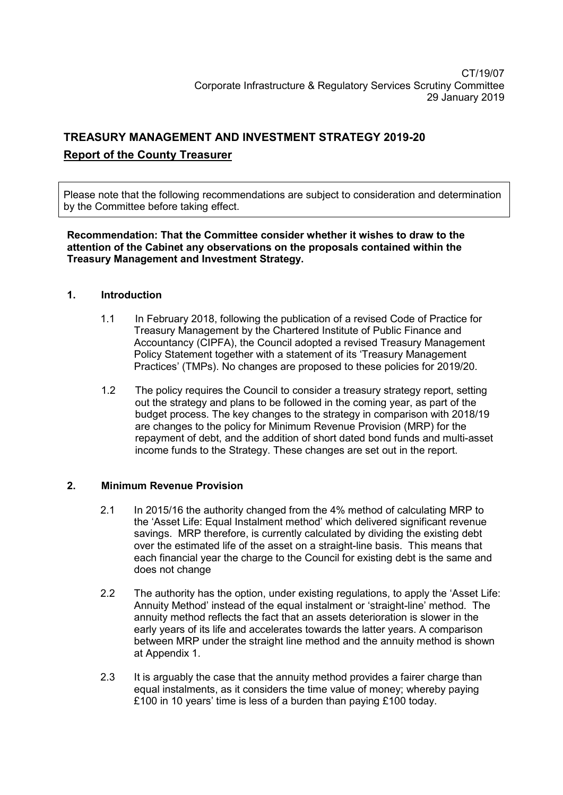# **TREASURY MANAGEMENT AND INVESTMENT STRATEGY 2019-20 Report of the County Treasurer**

Please note that the following recommendations are subject to consideration and determination by the Committee before taking effect.

**Recommendation: That the Committee consider whether it wishes to draw to the attention of the Cabinet any observations on the proposals contained within the Treasury Management and Investment Strategy.** 

#### **1. Introduction**

- 1.1 In February 2018, following the publication of a revised Code of Practice for Treasury Management by the Chartered Institute of Public Finance and Accountancy (CIPFA), the Council adopted a revised Treasury Management Policy Statement together with a statement of its 'Treasury Management Practices' (TMPs). No changes are proposed to these policies for 2019/20.
- 1.2 The policy requires the Council to consider a treasury strategy report, setting out the strategy and plans to be followed in the coming year, as part of the budget process. The key changes to the strategy in comparison with 2018/19 are changes to the policy for Minimum Revenue Provision (MRP) for the repayment of debt, and the addition of short dated bond funds and multi-asset income funds to the Strategy. These changes are set out in the report.

#### **2. Minimum Revenue Provision**

- 2.1 In 2015/16 the authority changed from the 4% method of calculating MRP to the 'Asset Life: Equal Instalment method' which delivered significant revenue savings. MRP therefore, is currently calculated by dividing the existing debt over the estimated life of the asset on a straight-line basis. This means that each financial year the charge to the Council for existing debt is the same and does not change
- 2.2 The authority has the option, under existing regulations, to apply the 'Asset Life: Annuity Method' instead of the equal instalment or 'straight-line' method. The annuity method reflects the fact that an assets deterioration is slower in the early years of its life and accelerates towards the latter years. A comparison between MRP under the straight line method and the annuity method is shown at Appendix 1.
- 2.3 It is arguably the case that the annuity method provides a fairer charge than equal instalments, as it considers the time value of money; whereby paying £100 in 10 years' time is less of a burden than paying £100 today.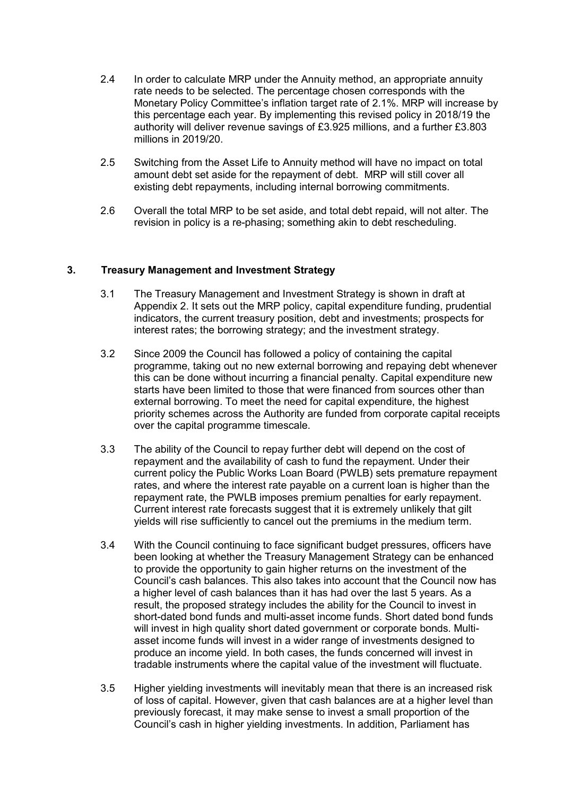- 2.4 In order to calculate MRP under the Annuity method, an appropriate annuity rate needs to be selected. The percentage chosen corresponds with the Monetary Policy Committee's inflation target rate of 2.1%. MRP will increase by this percentage each year. By implementing this revised policy in 2018/19 the authority will deliver revenue savings of £3.925 millions, and a further £3.803 millions in 2019/20.
- 2.5 Switching from the Asset Life to Annuity method will have no impact on total amount debt set aside for the repayment of debt. MRP will still cover all existing debt repayments, including internal borrowing commitments.
- 2.6 Overall the total MRP to be set aside, and total debt repaid, will not alter. The revision in policy is a re-phasing; something akin to debt rescheduling.

#### **3. Treasury Management and Investment Strategy**

- 3.1 The Treasury Management and Investment Strategy is shown in draft at Appendix 2. It sets out the MRP policy, capital expenditure funding, prudential indicators, the current treasury position, debt and investments; prospects for interest rates; the borrowing strategy; and the investment strategy.
- 3.2 Since 2009 the Council has followed a policy of containing the capital programme, taking out no new external borrowing and repaying debt whenever this can be done without incurring a financial penalty. Capital expenditure new starts have been limited to those that were financed from sources other than external borrowing. To meet the need for capital expenditure, the highest priority schemes across the Authority are funded from corporate capital receipts over the capital programme timescale.
- 3.3 The ability of the Council to repay further debt will depend on the cost of repayment and the availability of cash to fund the repayment. Under their current policy the Public Works Loan Board (PWLB) sets premature repayment rates, and where the interest rate payable on a current loan is higher than the repayment rate, the PWLB imposes premium penalties for early repayment. Current interest rate forecasts suggest that it is extremely unlikely that gilt yields will rise sufficiently to cancel out the premiums in the medium term.
- 3.4 With the Council continuing to face significant budget pressures, officers have been looking at whether the Treasury Management Strategy can be enhanced to provide the opportunity to gain higher returns on the investment of the Council's cash balances. This also takes into account that the Council now has a higher level of cash balances than it has had over the last 5 years. As a result, the proposed strategy includes the ability for the Council to invest in short-dated bond funds and multi-asset income funds. Short dated bond funds will invest in high quality short dated government or corporate bonds. Multiasset income funds will invest in a wider range of investments designed to produce an income yield. In both cases, the funds concerned will invest in tradable instruments where the capital value of the investment will fluctuate.
- 3.5 Higher yielding investments will inevitably mean that there is an increased risk of loss of capital. However, given that cash balances are at a higher level than previously forecast, it may make sense to invest a small proportion of the Council's cash in higher yielding investments. In addition, Parliament has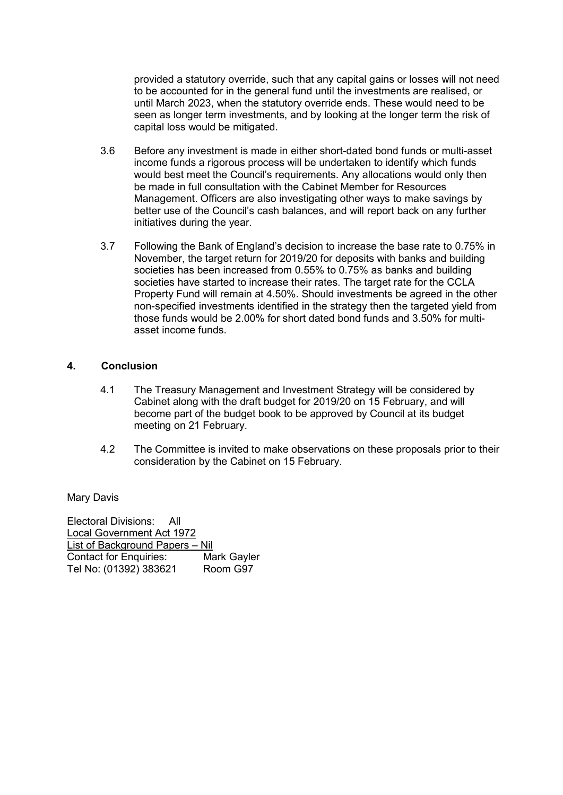provided a statutory override, such that any capital gains or losses will not need to be accounted for in the general fund until the investments are realised, or until March 2023, when the statutory override ends. These would need to be seen as longer term investments, and by looking at the longer term the risk of capital loss would be mitigated.

- 3.6 Before any investment is made in either short-dated bond funds or multi-asset income funds a rigorous process will be undertaken to identify which funds would best meet the Council's requirements. Any allocations would only then be made in full consultation with the Cabinet Member for Resources Management. Officers are also investigating other ways to make savings by better use of the Council's cash balances, and will report back on any further initiatives during the year.
- 3.7 Following the Bank of England's decision to increase the base rate to 0.75% in November, the target return for 2019/20 for deposits with banks and building societies has been increased from 0.55% to 0.75% as banks and building societies have started to increase their rates. The target rate for the CCLA Property Fund will remain at 4.50%. Should investments be agreed in the other non-specified investments identified in the strategy then the targeted yield from those funds would be 2.00% for short dated bond funds and 3.50% for multiasset income funds.

#### **4. Conclusion**

- 4.1 The Treasury Management and Investment Strategy will be considered by Cabinet along with the draft budget for 2019/20 on 15 February, and will become part of the budget book to be approved by Council at its budget meeting on 21 February.
- 4.2 The Committee is invited to make observations on these proposals prior to their consideration by the Cabinet on 15 February.

Mary Davis

Electoral Divisions: All Local Government Act 1972 List of Background Papers – Nil Contact for Enquiries: Mark Gayler Tel No: (01392) 383621 Room G97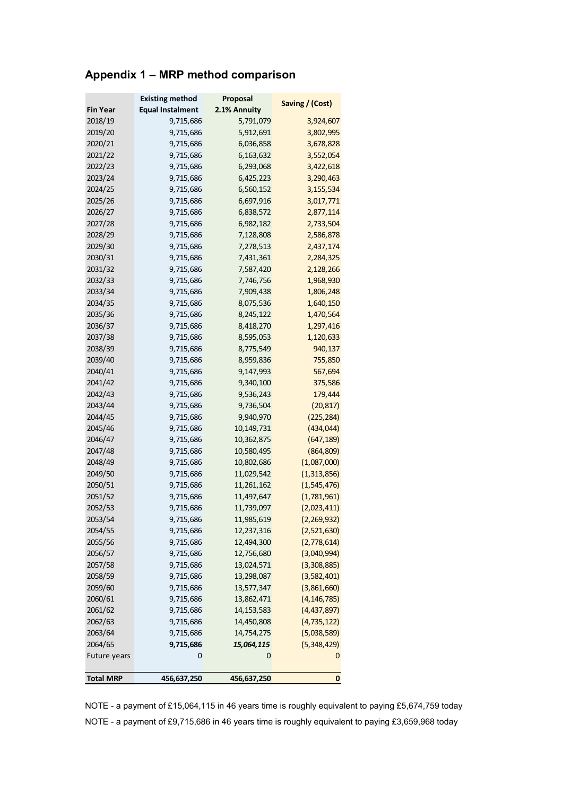# **Appendix 1 – MRP method comparison**

| <b>Equal Instalment</b><br>2.1% Annuity<br><b>Fin Year</b><br>2018/19<br>9,715,686<br>5,791,079<br>3,924,607<br>2019/20<br>9,715,686<br>5,912,691<br>3,802,995<br>2020/21<br>9,715,686<br>6,036,858<br>3,678,828<br>2021/22<br>6,163,632<br>9,715,686<br>3,552,054<br>2022/23<br>9,715,686<br>6,293,068<br>3,422,618<br>2023/24<br>9,715,686<br>6,425,223<br>3,290,463<br>2024/25<br>9,715,686<br>6,560,152<br>3,155,534<br>2025/26<br>9,715,686<br>6,697,916<br>3,017,771<br>2026/27<br>9,715,686<br>6,838,572<br>2,877,114<br>2027/28<br>6,982,182<br>2,733,504<br>9,715,686<br>2028/29<br>9,715,686<br>7,128,808<br>2,586,878<br>2029/30<br>9,715,686<br>7,278,513<br>2,437,174<br>2030/31<br>9,715,686<br>7,431,361<br>2,284,325<br>2031/32<br>9,715,686<br>7,587,420<br>2,128,266<br>2032/33<br>7,746,756<br>1,968,930<br>9,715,686<br>2033/34<br>7,909,438<br>1,806,248<br>9,715,686<br>2034/35<br>9,715,686<br>8,075,536<br>1,640,150<br>2035/36<br>9,715,686<br>8,245,122<br>1,470,564<br>2036/37<br>9,715,686<br>8,418,270<br>1,297,416<br>2037/38<br>8,595,053<br>1,120,633<br>9,715,686<br>2038/39<br>8,775,549<br>940,137<br>9,715,686<br>2039/40<br>755,850<br>9,715,686<br>8,959,836<br>2040/41<br>9,147,993<br>567,694<br>9,715,686<br>2041/42<br>9,715,686<br>9,340,100<br>375,586<br>2042/43<br>9,536,243<br>9,715,686<br>179,444<br>2043/44<br>9,715,686<br>9,736,504<br>(20, 817)<br>2044/45<br>9,715,686<br>9,940,970<br>(225, 284)<br>2045/46<br>(434, 044)<br>9,715,686<br>10,149,731<br>2046/47<br>(647, 189)<br>9,715,686<br>10,362,875<br>2047/48<br>(864, 809)<br>9,715,686<br>10,580,495<br>2048/49<br>(1,087,000)<br>9,715,686<br>10,802,686<br>2049/50<br>9,715,686<br>11,029,542<br>(1,313,856)<br>2050/51<br>9,715,686<br>11, 261, 162<br>(1, 545, 476)<br>2051/52<br>9,715,686<br>11,497,647<br>(1,781,961)<br>2052/53<br>(2,023,411)<br>9,715,686<br>11,739,097<br>(2,269,932)<br>2053/54<br>11,985,619<br>9,715,686<br>2054/55<br>12,237,316<br>(2,521,630)<br>9,715,686<br>2055/56<br>12,494,300<br>(2,778,614)<br>9,715,686<br>2056/57<br>9,715,686<br>12,756,680<br>(3,040,994)<br>2057/58<br>9,715,686<br>13,024,571<br>(3,308,885)<br>2058/59<br>9,715,686<br>13,298,087<br>(3,582,401)<br>2059/60<br>9,715,686<br>13,577,347<br>(3,861,660)<br>2060/61<br>13,862,471<br>(4, 146, 785)<br>9,715,686<br>2061/62<br>14, 153, 583<br>(4,437,897)<br>9,715,686<br>2062/63<br>14,450,808<br>(4, 735, 122)<br>9,715,686<br>2063/64<br>9,715,686<br>14,754,275<br>(5,038,589)<br>2064/65<br>9,715,686<br>15,064,115<br>(5,348,429)<br>0<br>0<br>Future years<br>0<br><b>Total MRP</b><br>456,637,250<br>0<br>456,637,250 | <b>Existing method</b> | Proposal | Saving / (Cost) |
|----------------------------------------------------------------------------------------------------------------------------------------------------------------------------------------------------------------------------------------------------------------------------------------------------------------------------------------------------------------------------------------------------------------------------------------------------------------------------------------------------------------------------------------------------------------------------------------------------------------------------------------------------------------------------------------------------------------------------------------------------------------------------------------------------------------------------------------------------------------------------------------------------------------------------------------------------------------------------------------------------------------------------------------------------------------------------------------------------------------------------------------------------------------------------------------------------------------------------------------------------------------------------------------------------------------------------------------------------------------------------------------------------------------------------------------------------------------------------------------------------------------------------------------------------------------------------------------------------------------------------------------------------------------------------------------------------------------------------------------------------------------------------------------------------------------------------------------------------------------------------------------------------------------------------------------------------------------------------------------------------------------------------------------------------------------------------------------------------------------------------------------------------------------------------------------------------------------------------------------------------------------------------------------------------------------------------------------------------------------------------------------------------------------------------------------------------------------------------------------------------------------------------------------------------------------------------------------------------------------------------------------------------------|------------------------|----------|-----------------|
|                                                                                                                                                                                                                                                                                                                                                                                                                                                                                                                                                                                                                                                                                                                                                                                                                                                                                                                                                                                                                                                                                                                                                                                                                                                                                                                                                                                                                                                                                                                                                                                                                                                                                                                                                                                                                                                                                                                                                                                                                                                                                                                                                                                                                                                                                                                                                                                                                                                                                                                                                                                                                                                          |                        |          |                 |
|                                                                                                                                                                                                                                                                                                                                                                                                                                                                                                                                                                                                                                                                                                                                                                                                                                                                                                                                                                                                                                                                                                                                                                                                                                                                                                                                                                                                                                                                                                                                                                                                                                                                                                                                                                                                                                                                                                                                                                                                                                                                                                                                                                                                                                                                                                                                                                                                                                                                                                                                                                                                                                                          |                        |          |                 |
|                                                                                                                                                                                                                                                                                                                                                                                                                                                                                                                                                                                                                                                                                                                                                                                                                                                                                                                                                                                                                                                                                                                                                                                                                                                                                                                                                                                                                                                                                                                                                                                                                                                                                                                                                                                                                                                                                                                                                                                                                                                                                                                                                                                                                                                                                                                                                                                                                                                                                                                                                                                                                                                          |                        |          |                 |
|                                                                                                                                                                                                                                                                                                                                                                                                                                                                                                                                                                                                                                                                                                                                                                                                                                                                                                                                                                                                                                                                                                                                                                                                                                                                                                                                                                                                                                                                                                                                                                                                                                                                                                                                                                                                                                                                                                                                                                                                                                                                                                                                                                                                                                                                                                                                                                                                                                                                                                                                                                                                                                                          |                        |          |                 |
|                                                                                                                                                                                                                                                                                                                                                                                                                                                                                                                                                                                                                                                                                                                                                                                                                                                                                                                                                                                                                                                                                                                                                                                                                                                                                                                                                                                                                                                                                                                                                                                                                                                                                                                                                                                                                                                                                                                                                                                                                                                                                                                                                                                                                                                                                                                                                                                                                                                                                                                                                                                                                                                          |                        |          |                 |
|                                                                                                                                                                                                                                                                                                                                                                                                                                                                                                                                                                                                                                                                                                                                                                                                                                                                                                                                                                                                                                                                                                                                                                                                                                                                                                                                                                                                                                                                                                                                                                                                                                                                                                                                                                                                                                                                                                                                                                                                                                                                                                                                                                                                                                                                                                                                                                                                                                                                                                                                                                                                                                                          |                        |          |                 |
|                                                                                                                                                                                                                                                                                                                                                                                                                                                                                                                                                                                                                                                                                                                                                                                                                                                                                                                                                                                                                                                                                                                                                                                                                                                                                                                                                                                                                                                                                                                                                                                                                                                                                                                                                                                                                                                                                                                                                                                                                                                                                                                                                                                                                                                                                                                                                                                                                                                                                                                                                                                                                                                          |                        |          |                 |
|                                                                                                                                                                                                                                                                                                                                                                                                                                                                                                                                                                                                                                                                                                                                                                                                                                                                                                                                                                                                                                                                                                                                                                                                                                                                                                                                                                                                                                                                                                                                                                                                                                                                                                                                                                                                                                                                                                                                                                                                                                                                                                                                                                                                                                                                                                                                                                                                                                                                                                                                                                                                                                                          |                        |          |                 |
|                                                                                                                                                                                                                                                                                                                                                                                                                                                                                                                                                                                                                                                                                                                                                                                                                                                                                                                                                                                                                                                                                                                                                                                                                                                                                                                                                                                                                                                                                                                                                                                                                                                                                                                                                                                                                                                                                                                                                                                                                                                                                                                                                                                                                                                                                                                                                                                                                                                                                                                                                                                                                                                          |                        |          |                 |
|                                                                                                                                                                                                                                                                                                                                                                                                                                                                                                                                                                                                                                                                                                                                                                                                                                                                                                                                                                                                                                                                                                                                                                                                                                                                                                                                                                                                                                                                                                                                                                                                                                                                                                                                                                                                                                                                                                                                                                                                                                                                                                                                                                                                                                                                                                                                                                                                                                                                                                                                                                                                                                                          |                        |          |                 |
|                                                                                                                                                                                                                                                                                                                                                                                                                                                                                                                                                                                                                                                                                                                                                                                                                                                                                                                                                                                                                                                                                                                                                                                                                                                                                                                                                                                                                                                                                                                                                                                                                                                                                                                                                                                                                                                                                                                                                                                                                                                                                                                                                                                                                                                                                                                                                                                                                                                                                                                                                                                                                                                          |                        |          |                 |
|                                                                                                                                                                                                                                                                                                                                                                                                                                                                                                                                                                                                                                                                                                                                                                                                                                                                                                                                                                                                                                                                                                                                                                                                                                                                                                                                                                                                                                                                                                                                                                                                                                                                                                                                                                                                                                                                                                                                                                                                                                                                                                                                                                                                                                                                                                                                                                                                                                                                                                                                                                                                                                                          |                        |          |                 |
|                                                                                                                                                                                                                                                                                                                                                                                                                                                                                                                                                                                                                                                                                                                                                                                                                                                                                                                                                                                                                                                                                                                                                                                                                                                                                                                                                                                                                                                                                                                                                                                                                                                                                                                                                                                                                                                                                                                                                                                                                                                                                                                                                                                                                                                                                                                                                                                                                                                                                                                                                                                                                                                          |                        |          |                 |
|                                                                                                                                                                                                                                                                                                                                                                                                                                                                                                                                                                                                                                                                                                                                                                                                                                                                                                                                                                                                                                                                                                                                                                                                                                                                                                                                                                                                                                                                                                                                                                                                                                                                                                                                                                                                                                                                                                                                                                                                                                                                                                                                                                                                                                                                                                                                                                                                                                                                                                                                                                                                                                                          |                        |          |                 |
|                                                                                                                                                                                                                                                                                                                                                                                                                                                                                                                                                                                                                                                                                                                                                                                                                                                                                                                                                                                                                                                                                                                                                                                                                                                                                                                                                                                                                                                                                                                                                                                                                                                                                                                                                                                                                                                                                                                                                                                                                                                                                                                                                                                                                                                                                                                                                                                                                                                                                                                                                                                                                                                          |                        |          |                 |
|                                                                                                                                                                                                                                                                                                                                                                                                                                                                                                                                                                                                                                                                                                                                                                                                                                                                                                                                                                                                                                                                                                                                                                                                                                                                                                                                                                                                                                                                                                                                                                                                                                                                                                                                                                                                                                                                                                                                                                                                                                                                                                                                                                                                                                                                                                                                                                                                                                                                                                                                                                                                                                                          |                        |          |                 |
|                                                                                                                                                                                                                                                                                                                                                                                                                                                                                                                                                                                                                                                                                                                                                                                                                                                                                                                                                                                                                                                                                                                                                                                                                                                                                                                                                                                                                                                                                                                                                                                                                                                                                                                                                                                                                                                                                                                                                                                                                                                                                                                                                                                                                                                                                                                                                                                                                                                                                                                                                                                                                                                          |                        |          |                 |
|                                                                                                                                                                                                                                                                                                                                                                                                                                                                                                                                                                                                                                                                                                                                                                                                                                                                                                                                                                                                                                                                                                                                                                                                                                                                                                                                                                                                                                                                                                                                                                                                                                                                                                                                                                                                                                                                                                                                                                                                                                                                                                                                                                                                                                                                                                                                                                                                                                                                                                                                                                                                                                                          |                        |          |                 |
|                                                                                                                                                                                                                                                                                                                                                                                                                                                                                                                                                                                                                                                                                                                                                                                                                                                                                                                                                                                                                                                                                                                                                                                                                                                                                                                                                                                                                                                                                                                                                                                                                                                                                                                                                                                                                                                                                                                                                                                                                                                                                                                                                                                                                                                                                                                                                                                                                                                                                                                                                                                                                                                          |                        |          |                 |
|                                                                                                                                                                                                                                                                                                                                                                                                                                                                                                                                                                                                                                                                                                                                                                                                                                                                                                                                                                                                                                                                                                                                                                                                                                                                                                                                                                                                                                                                                                                                                                                                                                                                                                                                                                                                                                                                                                                                                                                                                                                                                                                                                                                                                                                                                                                                                                                                                                                                                                                                                                                                                                                          |                        |          |                 |
|                                                                                                                                                                                                                                                                                                                                                                                                                                                                                                                                                                                                                                                                                                                                                                                                                                                                                                                                                                                                                                                                                                                                                                                                                                                                                                                                                                                                                                                                                                                                                                                                                                                                                                                                                                                                                                                                                                                                                                                                                                                                                                                                                                                                                                                                                                                                                                                                                                                                                                                                                                                                                                                          |                        |          |                 |
|                                                                                                                                                                                                                                                                                                                                                                                                                                                                                                                                                                                                                                                                                                                                                                                                                                                                                                                                                                                                                                                                                                                                                                                                                                                                                                                                                                                                                                                                                                                                                                                                                                                                                                                                                                                                                                                                                                                                                                                                                                                                                                                                                                                                                                                                                                                                                                                                                                                                                                                                                                                                                                                          |                        |          |                 |
|                                                                                                                                                                                                                                                                                                                                                                                                                                                                                                                                                                                                                                                                                                                                                                                                                                                                                                                                                                                                                                                                                                                                                                                                                                                                                                                                                                                                                                                                                                                                                                                                                                                                                                                                                                                                                                                                                                                                                                                                                                                                                                                                                                                                                                                                                                                                                                                                                                                                                                                                                                                                                                                          |                        |          |                 |
|                                                                                                                                                                                                                                                                                                                                                                                                                                                                                                                                                                                                                                                                                                                                                                                                                                                                                                                                                                                                                                                                                                                                                                                                                                                                                                                                                                                                                                                                                                                                                                                                                                                                                                                                                                                                                                                                                                                                                                                                                                                                                                                                                                                                                                                                                                                                                                                                                                                                                                                                                                                                                                                          |                        |          |                 |
|                                                                                                                                                                                                                                                                                                                                                                                                                                                                                                                                                                                                                                                                                                                                                                                                                                                                                                                                                                                                                                                                                                                                                                                                                                                                                                                                                                                                                                                                                                                                                                                                                                                                                                                                                                                                                                                                                                                                                                                                                                                                                                                                                                                                                                                                                                                                                                                                                                                                                                                                                                                                                                                          |                        |          |                 |
|                                                                                                                                                                                                                                                                                                                                                                                                                                                                                                                                                                                                                                                                                                                                                                                                                                                                                                                                                                                                                                                                                                                                                                                                                                                                                                                                                                                                                                                                                                                                                                                                                                                                                                                                                                                                                                                                                                                                                                                                                                                                                                                                                                                                                                                                                                                                                                                                                                                                                                                                                                                                                                                          |                        |          |                 |
|                                                                                                                                                                                                                                                                                                                                                                                                                                                                                                                                                                                                                                                                                                                                                                                                                                                                                                                                                                                                                                                                                                                                                                                                                                                                                                                                                                                                                                                                                                                                                                                                                                                                                                                                                                                                                                                                                                                                                                                                                                                                                                                                                                                                                                                                                                                                                                                                                                                                                                                                                                                                                                                          |                        |          |                 |
|                                                                                                                                                                                                                                                                                                                                                                                                                                                                                                                                                                                                                                                                                                                                                                                                                                                                                                                                                                                                                                                                                                                                                                                                                                                                                                                                                                                                                                                                                                                                                                                                                                                                                                                                                                                                                                                                                                                                                                                                                                                                                                                                                                                                                                                                                                                                                                                                                                                                                                                                                                                                                                                          |                        |          |                 |
|                                                                                                                                                                                                                                                                                                                                                                                                                                                                                                                                                                                                                                                                                                                                                                                                                                                                                                                                                                                                                                                                                                                                                                                                                                                                                                                                                                                                                                                                                                                                                                                                                                                                                                                                                                                                                                                                                                                                                                                                                                                                                                                                                                                                                                                                                                                                                                                                                                                                                                                                                                                                                                                          |                        |          |                 |
|                                                                                                                                                                                                                                                                                                                                                                                                                                                                                                                                                                                                                                                                                                                                                                                                                                                                                                                                                                                                                                                                                                                                                                                                                                                                                                                                                                                                                                                                                                                                                                                                                                                                                                                                                                                                                                                                                                                                                                                                                                                                                                                                                                                                                                                                                                                                                                                                                                                                                                                                                                                                                                                          |                        |          |                 |
|                                                                                                                                                                                                                                                                                                                                                                                                                                                                                                                                                                                                                                                                                                                                                                                                                                                                                                                                                                                                                                                                                                                                                                                                                                                                                                                                                                                                                                                                                                                                                                                                                                                                                                                                                                                                                                                                                                                                                                                                                                                                                                                                                                                                                                                                                                                                                                                                                                                                                                                                                                                                                                                          |                        |          |                 |
|                                                                                                                                                                                                                                                                                                                                                                                                                                                                                                                                                                                                                                                                                                                                                                                                                                                                                                                                                                                                                                                                                                                                                                                                                                                                                                                                                                                                                                                                                                                                                                                                                                                                                                                                                                                                                                                                                                                                                                                                                                                                                                                                                                                                                                                                                                                                                                                                                                                                                                                                                                                                                                                          |                        |          |                 |
|                                                                                                                                                                                                                                                                                                                                                                                                                                                                                                                                                                                                                                                                                                                                                                                                                                                                                                                                                                                                                                                                                                                                                                                                                                                                                                                                                                                                                                                                                                                                                                                                                                                                                                                                                                                                                                                                                                                                                                                                                                                                                                                                                                                                                                                                                                                                                                                                                                                                                                                                                                                                                                                          |                        |          |                 |
|                                                                                                                                                                                                                                                                                                                                                                                                                                                                                                                                                                                                                                                                                                                                                                                                                                                                                                                                                                                                                                                                                                                                                                                                                                                                                                                                                                                                                                                                                                                                                                                                                                                                                                                                                                                                                                                                                                                                                                                                                                                                                                                                                                                                                                                                                                                                                                                                                                                                                                                                                                                                                                                          |                        |          |                 |
|                                                                                                                                                                                                                                                                                                                                                                                                                                                                                                                                                                                                                                                                                                                                                                                                                                                                                                                                                                                                                                                                                                                                                                                                                                                                                                                                                                                                                                                                                                                                                                                                                                                                                                                                                                                                                                                                                                                                                                                                                                                                                                                                                                                                                                                                                                                                                                                                                                                                                                                                                                                                                                                          |                        |          |                 |
|                                                                                                                                                                                                                                                                                                                                                                                                                                                                                                                                                                                                                                                                                                                                                                                                                                                                                                                                                                                                                                                                                                                                                                                                                                                                                                                                                                                                                                                                                                                                                                                                                                                                                                                                                                                                                                                                                                                                                                                                                                                                                                                                                                                                                                                                                                                                                                                                                                                                                                                                                                                                                                                          |                        |          |                 |
|                                                                                                                                                                                                                                                                                                                                                                                                                                                                                                                                                                                                                                                                                                                                                                                                                                                                                                                                                                                                                                                                                                                                                                                                                                                                                                                                                                                                                                                                                                                                                                                                                                                                                                                                                                                                                                                                                                                                                                                                                                                                                                                                                                                                                                                                                                                                                                                                                                                                                                                                                                                                                                                          |                        |          |                 |
|                                                                                                                                                                                                                                                                                                                                                                                                                                                                                                                                                                                                                                                                                                                                                                                                                                                                                                                                                                                                                                                                                                                                                                                                                                                                                                                                                                                                                                                                                                                                                                                                                                                                                                                                                                                                                                                                                                                                                                                                                                                                                                                                                                                                                                                                                                                                                                                                                                                                                                                                                                                                                                                          |                        |          |                 |
|                                                                                                                                                                                                                                                                                                                                                                                                                                                                                                                                                                                                                                                                                                                                                                                                                                                                                                                                                                                                                                                                                                                                                                                                                                                                                                                                                                                                                                                                                                                                                                                                                                                                                                                                                                                                                                                                                                                                                                                                                                                                                                                                                                                                                                                                                                                                                                                                                                                                                                                                                                                                                                                          |                        |          |                 |
|                                                                                                                                                                                                                                                                                                                                                                                                                                                                                                                                                                                                                                                                                                                                                                                                                                                                                                                                                                                                                                                                                                                                                                                                                                                                                                                                                                                                                                                                                                                                                                                                                                                                                                                                                                                                                                                                                                                                                                                                                                                                                                                                                                                                                                                                                                                                                                                                                                                                                                                                                                                                                                                          |                        |          |                 |
|                                                                                                                                                                                                                                                                                                                                                                                                                                                                                                                                                                                                                                                                                                                                                                                                                                                                                                                                                                                                                                                                                                                                                                                                                                                                                                                                                                                                                                                                                                                                                                                                                                                                                                                                                                                                                                                                                                                                                                                                                                                                                                                                                                                                                                                                                                                                                                                                                                                                                                                                                                                                                                                          |                        |          |                 |
|                                                                                                                                                                                                                                                                                                                                                                                                                                                                                                                                                                                                                                                                                                                                                                                                                                                                                                                                                                                                                                                                                                                                                                                                                                                                                                                                                                                                                                                                                                                                                                                                                                                                                                                                                                                                                                                                                                                                                                                                                                                                                                                                                                                                                                                                                                                                                                                                                                                                                                                                                                                                                                                          |                        |          |                 |
|                                                                                                                                                                                                                                                                                                                                                                                                                                                                                                                                                                                                                                                                                                                                                                                                                                                                                                                                                                                                                                                                                                                                                                                                                                                                                                                                                                                                                                                                                                                                                                                                                                                                                                                                                                                                                                                                                                                                                                                                                                                                                                                                                                                                                                                                                                                                                                                                                                                                                                                                                                                                                                                          |                        |          |                 |
|                                                                                                                                                                                                                                                                                                                                                                                                                                                                                                                                                                                                                                                                                                                                                                                                                                                                                                                                                                                                                                                                                                                                                                                                                                                                                                                                                                                                                                                                                                                                                                                                                                                                                                                                                                                                                                                                                                                                                                                                                                                                                                                                                                                                                                                                                                                                                                                                                                                                                                                                                                                                                                                          |                        |          |                 |
|                                                                                                                                                                                                                                                                                                                                                                                                                                                                                                                                                                                                                                                                                                                                                                                                                                                                                                                                                                                                                                                                                                                                                                                                                                                                                                                                                                                                                                                                                                                                                                                                                                                                                                                                                                                                                                                                                                                                                                                                                                                                                                                                                                                                                                                                                                                                                                                                                                                                                                                                                                                                                                                          |                        |          |                 |
|                                                                                                                                                                                                                                                                                                                                                                                                                                                                                                                                                                                                                                                                                                                                                                                                                                                                                                                                                                                                                                                                                                                                                                                                                                                                                                                                                                                                                                                                                                                                                                                                                                                                                                                                                                                                                                                                                                                                                                                                                                                                                                                                                                                                                                                                                                                                                                                                                                                                                                                                                                                                                                                          |                        |          |                 |
|                                                                                                                                                                                                                                                                                                                                                                                                                                                                                                                                                                                                                                                                                                                                                                                                                                                                                                                                                                                                                                                                                                                                                                                                                                                                                                                                                                                                                                                                                                                                                                                                                                                                                                                                                                                                                                                                                                                                                                                                                                                                                                                                                                                                                                                                                                                                                                                                                                                                                                                                                                                                                                                          |                        |          |                 |
|                                                                                                                                                                                                                                                                                                                                                                                                                                                                                                                                                                                                                                                                                                                                                                                                                                                                                                                                                                                                                                                                                                                                                                                                                                                                                                                                                                                                                                                                                                                                                                                                                                                                                                                                                                                                                                                                                                                                                                                                                                                                                                                                                                                                                                                                                                                                                                                                                                                                                                                                                                                                                                                          |                        |          |                 |
|                                                                                                                                                                                                                                                                                                                                                                                                                                                                                                                                                                                                                                                                                                                                                                                                                                                                                                                                                                                                                                                                                                                                                                                                                                                                                                                                                                                                                                                                                                                                                                                                                                                                                                                                                                                                                                                                                                                                                                                                                                                                                                                                                                                                                                                                                                                                                                                                                                                                                                                                                                                                                                                          |                        |          |                 |
|                                                                                                                                                                                                                                                                                                                                                                                                                                                                                                                                                                                                                                                                                                                                                                                                                                                                                                                                                                                                                                                                                                                                                                                                                                                                                                                                                                                                                                                                                                                                                                                                                                                                                                                                                                                                                                                                                                                                                                                                                                                                                                                                                                                                                                                                                                                                                                                                                                                                                                                                                                                                                                                          |                        |          |                 |

NOTE - a payment of £15,064,115 in 46 years time is roughly equivalent to paying £5,674,759 today NOTE - a payment of £9,715,686 in 46 years time is roughly equivalent to paying £3,659,968 today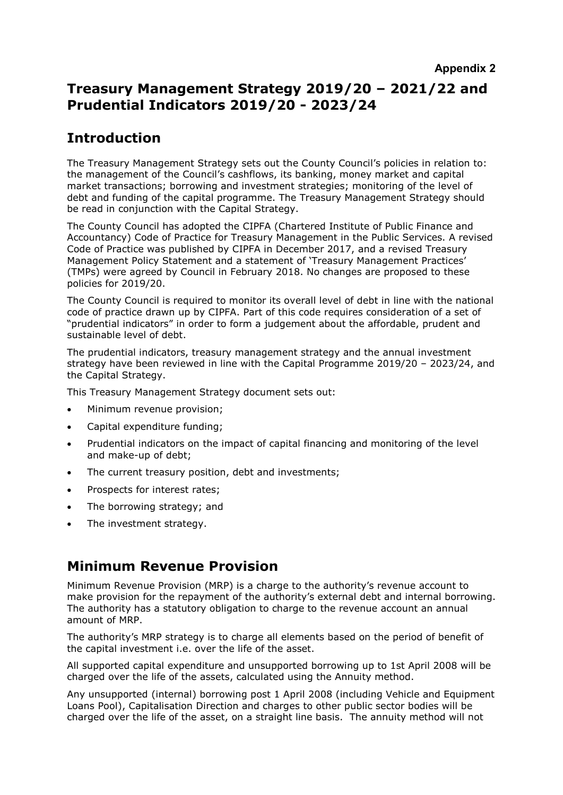# **Treasury Management Strategy 2019/20 – 2021/22 and Prudential Indicators 2019/20 - 2023/24**

# **Introduction**

The Treasury Management Strategy sets out the County Council's policies in relation to: the management of the Council's cashflows, its banking, money market and capital market transactions; borrowing and investment strategies; monitoring of the level of debt and funding of the capital programme. The Treasury Management Strategy should be read in conjunction with the Capital Strategy.

The County Council has adopted the CIPFA (Chartered Institute of Public Finance and Accountancy) Code of Practice for Treasury Management in the Public Services. A revised Code of Practice was published by CIPFA in December 2017, and a revised Treasury Management Policy Statement and a statement of 'Treasury Management Practices' (TMPs) were agreed by Council in February 2018. No changes are proposed to these policies for 2019/20.

The County Council is required to monitor its overall level of debt in line with the national code of practice drawn up by CIPFA. Part of this code requires consideration of a set of "prudential indicators" in order to form a judgement about the affordable, prudent and sustainable level of debt.

The prudential indicators, treasury management strategy and the annual investment strategy have been reviewed in line with the Capital Programme 2019/20 – 2023/24, and the Capital Strategy.

This Treasury Management Strategy document sets out:

- Minimum revenue provision;
- Capital expenditure funding;
- Prudential indicators on the impact of capital financing and monitoring of the level and make-up of debt;
- The current treasury position, debt and investments;
- Prospects for interest rates;
- The borrowing strategy; and
- The investment strategy.

# **Minimum Revenue Provision**

Minimum Revenue Provision (MRP) is a charge to the authority's revenue account to make provision for the repayment of the authority's external debt and internal borrowing. The authority has a statutory obligation to charge to the revenue account an annual amount of MRP.

The authority's MRP strategy is to charge all elements based on the period of benefit of the capital investment i.e. over the life of the asset.

All supported capital expenditure and unsupported borrowing up to 1st April 2008 will be charged over the life of the assets, calculated using the Annuity method.

Any unsupported (internal) borrowing post 1 April 2008 (including Vehicle and Equipment Loans Pool), Capitalisation Direction and charges to other public sector bodies will be charged over the life of the asset, on a straight line basis. The annuity method will not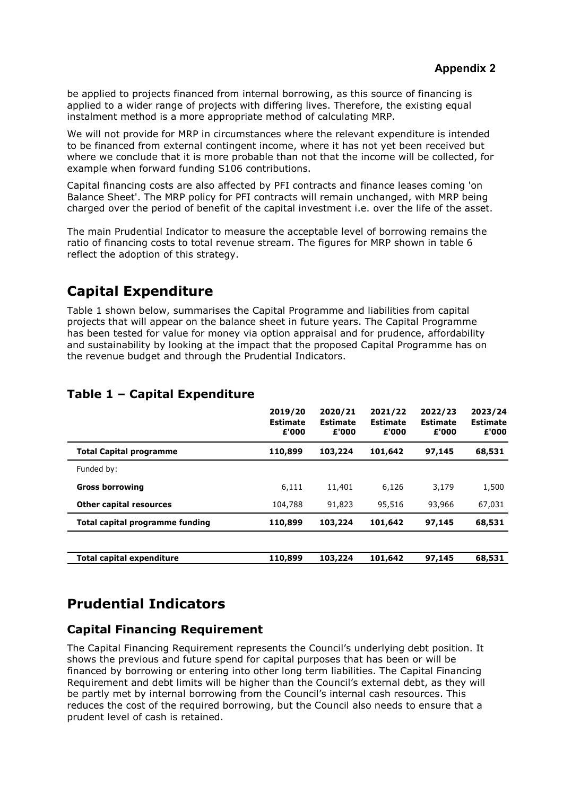be applied to projects financed from internal borrowing, as this source of financing is applied to a wider range of projects with differing lives. Therefore, the existing equal instalment method is a more appropriate method of calculating MRP.

We will not provide for MRP in circumstances where the relevant expenditure is intended to be financed from external contingent income, where it has not yet been received but where we conclude that it is more probable than not that the income will be collected, for example when forward funding S106 contributions.

Capital financing costs are also affected by PFI contracts and finance leases coming 'on Balance Sheet'. The MRP policy for PFI contracts will remain unchanged, with MRP being charged over the period of benefit of the capital investment i.e. over the life of the asset.

The main Prudential Indicator to measure the acceptable level of borrowing remains the ratio of financing costs to total revenue stream. The figures for MRP shown in table 6 reflect the adoption of this strategy.

# **Capital Expenditure**

Table 1 shown below, summarises the Capital Programme and liabilities from capital projects that will appear on the balance sheet in future years. The Capital Programme has been tested for value for money via option appraisal and for prudence, affordability and sustainability by looking at the impact that the proposed Capital Programme has on the revenue budget and through the Prudential Indicators.

|                                  | 2019/20<br><b>Estimate</b><br>£'000 | 2020/21<br><b>Estimate</b><br>£'000 | 2021/22<br><b>Estimate</b><br>£'000 | 2022/23<br><b>Estimate</b><br>£'000 | 2023/24<br><b>Estimate</b><br>£'000 |
|----------------------------------|-------------------------------------|-------------------------------------|-------------------------------------|-------------------------------------|-------------------------------------|
| <b>Total Capital programme</b>   | 110,899                             | 103,224                             | 101,642                             | 97,145                              | 68,531                              |
| Funded by:                       |                                     |                                     |                                     |                                     |                                     |
| <b>Gross borrowing</b>           | 6,111                               | 11,401                              | 6,126                               | 3,179                               | 1,500                               |
| <b>Other capital resources</b>   | 104,788                             | 91,823                              | 95,516                              | 93,966                              | 67,031                              |
| Total capital programme funding  | 110,899                             | 103,224                             | 101,642                             | 97,145                              | 68,531                              |
|                                  |                                     |                                     |                                     |                                     |                                     |
| <b>Total capital expenditure</b> | 110,899                             | 103,224                             | 101,642                             | 97,145                              | 68,531                              |

## **Table 1 – Capital Expenditure**

# **Prudential Indicators**

# **Capital Financing Requirement**

The Capital Financing Requirement represents the Council's underlying debt position. It shows the previous and future spend for capital purposes that has been or will be financed by borrowing or entering into other long term liabilities. The Capital Financing Requirement and debt limits will be higher than the Council's external debt, as they will be partly met by internal borrowing from the Council's internal cash resources. This reduces the cost of the required borrowing, but the Council also needs to ensure that a prudent level of cash is retained.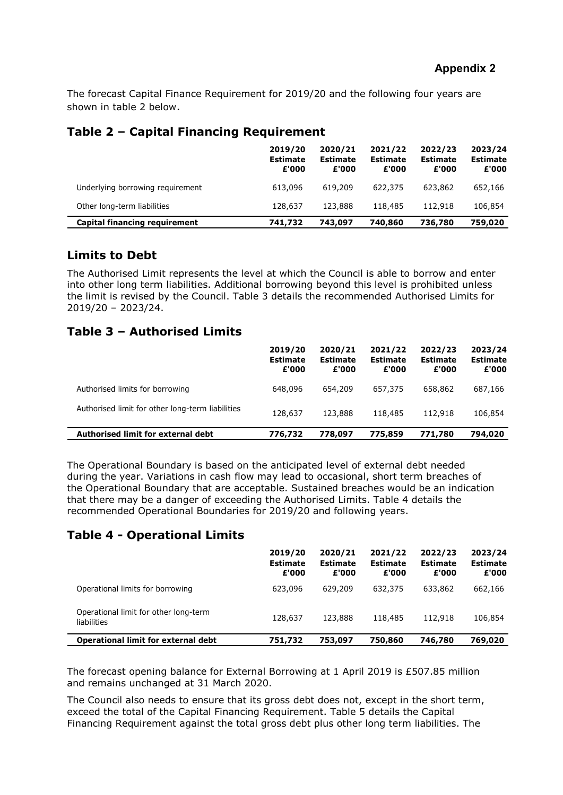The forecast Capital Finance Requirement for 2019/20 and the following four years are shown in table 2 below.

## **Table 2 – Capital Financing Requirement**

|                                  | 2019/20<br><b>Estimate</b><br>£'000 | 2020/21<br><b>Estimate</b><br>£'000 | 2021/22<br><b>Estimate</b><br>£'000 | 2022/23<br><b>Estimate</b><br>£'000 | 2023/24<br><b>Estimate</b><br>£'000 |
|----------------------------------|-------------------------------------|-------------------------------------|-------------------------------------|-------------------------------------|-------------------------------------|
| Underlying borrowing requirement | 613,096                             | 619,209                             | 622,375                             | 623,862                             | 652,166                             |
| Other long-term liabilities      | 128,637                             | 123,888                             | 118,485                             | 112,918                             | 106,854                             |
| Capital financing requirement    | 741,732                             | 743,097                             | 740,860                             | 736,780                             | 759,020                             |

## **Limits to Debt**

The Authorised Limit represents the level at which the Council is able to borrow and enter into other long term liabilities. Additional borrowing beyond this level is prohibited unless the limit is revised by the Council. Table 3 details the recommended Authorised Limits for 2019/20 – 2023/24.

## **Table 3 – Authorised Limits**

|                                                  | 2019/20<br><b>Estimate</b><br>£'000 | 2020/21<br><b>Estimate</b><br>£'000 | 2021/22<br><b>Estimate</b><br>£'000 | 2022/23<br><b>Estimate</b><br>£'000 | 2023/24<br><b>Estimate</b><br>£'000 |
|--------------------------------------------------|-------------------------------------|-------------------------------------|-------------------------------------|-------------------------------------|-------------------------------------|
| Authorised limits for borrowing                  | 648,096                             | 654,209                             | 657,375                             | 658,862                             | 687,166                             |
| Authorised limit for other long-term liabilities | 128,637                             | 123,888                             | 118,485                             | 112,918                             | 106,854                             |
| Authorised limit for external debt               | 776,732                             | 778,097                             | 775,859                             | 771,780                             | 794,020                             |

The Operational Boundary is based on the anticipated level of external debt needed during the year. Variations in cash flow may lead to occasional, short term breaches of the Operational Boundary that are acceptable. Sustained breaches would be an indication that there may be a danger of exceeding the Authorised Limits. Table 4 details the recommended Operational Boundaries for 2019/20 and following years.

## **Table 4 - Operational Limits**

|                                                      | 2019/20<br><b>Estimate</b><br>£'000 | 2020/21<br><b>Estimate</b><br>£'000 | 2021/22<br><b>Estimate</b><br>£'000 | 2022/23<br><b>Estimate</b><br>£'000 | 2023/24<br><b>Estimate</b><br>£'000 |
|------------------------------------------------------|-------------------------------------|-------------------------------------|-------------------------------------|-------------------------------------|-------------------------------------|
| Operational limits for borrowing                     | 623,096                             | 629,209                             | 632,375                             | 633,862                             | 662,166                             |
| Operational limit for other long-term<br>liabilities | 128,637                             | 123,888                             | 118,485                             | 112,918                             | 106,854                             |
| <b>Operational limit for external debt</b>           | 751,732                             | 753,097                             | 750,860                             | 746,780                             | 769,020                             |

The forecast opening balance for External Borrowing at 1 April 2019 is £507.85 million and remains unchanged at 31 March 2020.

The Council also needs to ensure that its gross debt does not, except in the short term, exceed the total of the Capital Financing Requirement. Table 5 details the Capital Financing Requirement against the total gross debt plus other long term liabilities. The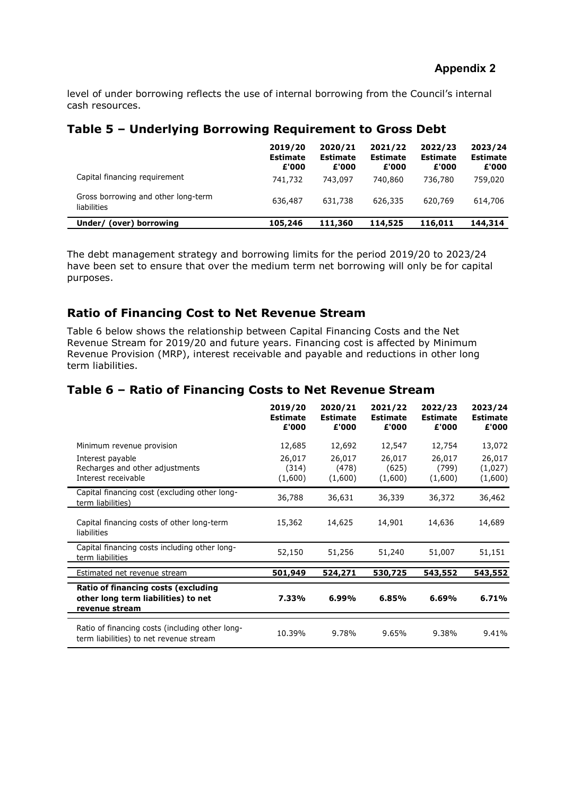level of under borrowing reflects the use of internal borrowing from the Council's internal cash resources.

### **Table 5 – Underlying Borrowing Requirement to Gross Debt**

|                                                    | 2019/20<br><b>Estimate</b><br>£'000 | 2020/21<br><b>Estimate</b><br>£'000 | 2021/22<br><b>Estimate</b><br>£'000 | 2022/23<br><b>Estimate</b><br>£'000 | 2023/24<br><b>Estimate</b><br>£'000 |
|----------------------------------------------------|-------------------------------------|-------------------------------------|-------------------------------------|-------------------------------------|-------------------------------------|
| Capital financing requirement                      | 741,732                             | 743,097                             | 740,860                             | 736,780                             | 759,020                             |
| Gross borrowing and other long-term<br>liabilities | 636,487                             | 631,738                             | 626,335                             | 620,769                             | 614,706                             |
| (over) borrowing<br>Under/                         | 105,246                             | 111,360                             | 114,525                             | 116,011                             | 144,314                             |

The debt management strategy and borrowing limits for the period 2019/20 to 2023/24 have been set to ensure that over the medium term net borrowing will only be for capital purposes.

### **Ratio of Financing Cost to Net Revenue Stream**

Table 6 below shows the relationship between Capital Financing Costs and the Net Revenue Stream for 2019/20 and future years. Financing cost is affected by Minimum Revenue Provision (MRP), interest receivable and payable and reductions in other long term liabilities.

### **Table 6 – Ratio of Financing Costs to Net Revenue Stream**

|                                                                                              | 2019/20<br><b>Estimate</b><br>£'000 | 2020/21<br><b>Estimate</b><br>£'000 | 2021/22<br><b>Estimate</b><br>£'000 | 2022/23<br><b>Estimate</b><br>£'000 | 2023/24<br><b>Estimate</b><br>£'000 |
|----------------------------------------------------------------------------------------------|-------------------------------------|-------------------------------------|-------------------------------------|-------------------------------------|-------------------------------------|
| Minimum revenue provision                                                                    | 12,685                              | 12,692                              | 12,547                              | 12,754                              | 13,072                              |
| Interest payable                                                                             | 26,017                              | 26,017                              | 26,017                              | 26,017                              | 26,017                              |
| Recharges and other adjustments                                                              | (314)                               | (478)                               | (625)                               | (799)                               | (1,027)                             |
| Interest receivable                                                                          | (1,600)                             | (1,600)                             | (1,600)                             | (1,600)                             | (1,600)                             |
| Capital financing cost (excluding other long-<br>term liabilities)                           | 36,788                              | 36,631                              | 36,339                              | 36,372                              | 36,462                              |
| Capital financing costs of other long-term<br>liabilities                                    | 15,362                              | 14,625                              | 14,901                              | 14,636                              | 14,689                              |
| Capital financing costs including other long-<br>term liabilities                            | 52,150                              | 51,256                              | 51,240                              | 51,007                              | 51,151                              |
| Estimated net revenue stream                                                                 | 501,949                             | 524,271                             | 530,725                             | 543,552                             | 543,552                             |
| Ratio of financing costs (excluding<br>other long term liabilities) to net<br>revenue stream | 7.33%                               | 6.99%                               | 6.85%                               | 6.69%                               | 6.71%                               |
| Ratio of financing costs (including other long-<br>term liabilities) to net revenue stream   | 10.39%                              | 9.78%                               | 9.65%                               | 9.38%                               | 9.41%                               |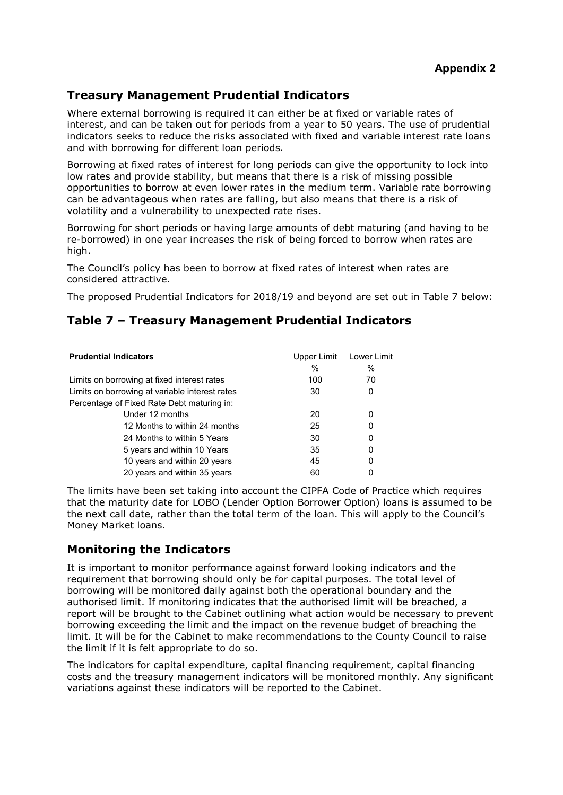# **Treasury Management Prudential Indicators**

Where external borrowing is required it can either be at fixed or variable rates of interest, and can be taken out for periods from a year to 50 years. The use of prudential indicators seeks to reduce the risks associated with fixed and variable interest rate loans and with borrowing for different loan periods.

Borrowing at fixed rates of interest for long periods can give the opportunity to lock into low rates and provide stability, but means that there is a risk of missing possible opportunities to borrow at even lower rates in the medium term. Variable rate borrowing can be advantageous when rates are falling, but also means that there is a risk of volatility and a vulnerability to unexpected rate rises.

Borrowing for short periods or having large amounts of debt maturing (and having to be re-borrowed) in one year increases the risk of being forced to borrow when rates are high.

The Council's policy has been to borrow at fixed rates of interest when rates are considered attractive.

The proposed Prudential Indicators for 2018/19 and beyond are set out in Table 7 below:

## **Table 7 – Treasury Management Prudential Indicators**

| <b>Prudential Indicators</b>                   | Upper Limit<br>$\%$ | Lower Limit<br>$\%$ |
|------------------------------------------------|---------------------|---------------------|
| Limits on borrowing at fixed interest rates    | 100                 | 70                  |
| Limits on borrowing at variable interest rates | 30                  | 0                   |
| Percentage of Fixed Rate Debt maturing in:     |                     |                     |
| Under 12 months                                | 20                  | 0                   |
| 12 Months to within 24 months                  | 25                  | 0                   |
| 24 Months to within 5 Years                    | 30                  | 0                   |
| 5 years and within 10 Years                    | 35                  | 0                   |
| 10 years and within 20 years                   | 45                  | 0                   |
| 20 years and within 35 years                   | 60                  |                     |

The limits have been set taking into account the CIPFA Code of Practice which requires that the maturity date for LOBO (Lender Option Borrower Option) loans is assumed to be the next call date, rather than the total term of the loan. This will apply to the Council's Money Market loans.

## **Monitoring the Indicators**

It is important to monitor performance against forward looking indicators and the requirement that borrowing should only be for capital purposes. The total level of borrowing will be monitored daily against both the operational boundary and the authorised limit. If monitoring indicates that the authorised limit will be breached, a report will be brought to the Cabinet outlining what action would be necessary to prevent borrowing exceeding the limit and the impact on the revenue budget of breaching the limit. It will be for the Cabinet to make recommendations to the County Council to raise the limit if it is felt appropriate to do so.

The indicators for capital expenditure, capital financing requirement, capital financing costs and the treasury management indicators will be monitored monthly. Any significant variations against these indicators will be reported to the Cabinet.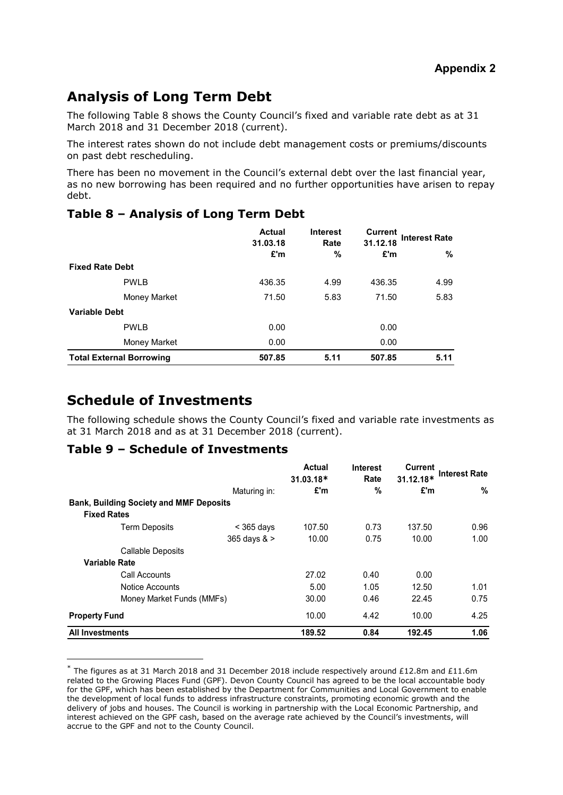# **Analysis of Long Term Debt**

The following Table 8 shows the County Council's fixed and variable rate debt as at 31 March 2018 and 31 December 2018 (current).

The interest rates shown do not include debt management costs or premiums/discounts on past debt rescheduling.

There has been no movement in the Council's external debt over the last financial year, as no new borrowing has been required and no further opportunities have arisen to repay debt.

|                                 | <b>Actual</b><br>31.03.18 | <b>Interest</b><br>Rate | <b>Current</b><br>31.12.18 | <b>Interest Rate</b> |
|---------------------------------|---------------------------|-------------------------|----------------------------|----------------------|
|                                 | £'m                       | %                       | £'m                        | %                    |
| <b>Fixed Rate Debt</b>          |                           |                         |                            |                      |
| <b>PWLB</b>                     | 436.35                    | 4.99                    | 436.35                     | 4.99                 |
| Money Market                    | 71.50                     | 5.83                    | 71.50                      | 5.83                 |
| <b>Variable Debt</b>            |                           |                         |                            |                      |
| <b>PWLB</b>                     | 0.00                      |                         | 0.00                       |                      |
| Money Market                    | 0.00                      |                         | 0.00                       |                      |
| <b>Total External Borrowing</b> | 507.85                    | 5.11                    | 507.85                     | 5.11                 |

## **Table 8 – Analysis of Long Term Debt**

# **Schedule of Investments**

 $\overline{a}$ 

The following schedule shows the County Council's fixed and variable rate investments as at 31 March 2018 and as at 31 December 2018 (current).

## **Table 9 – Schedule of Investments**

|                                                |              | Actual<br>$31.03.18*$ | <b>Interest</b><br>Rate | <b>Current</b><br>31.12.18* | <b>Interest Rate</b> |
|------------------------------------------------|--------------|-----------------------|-------------------------|-----------------------------|----------------------|
|                                                | Maturing in: | £'m                   | %                       | £'m                         | %                    |
| <b>Bank, Building Society and MMF Deposits</b> |              |                       |                         |                             |                      |
| <b>Fixed Rates</b>                             |              |                       |                         |                             |                      |
| <b>Term Deposits</b>                           | $<$ 365 days | 107.50                | 0.73                    | 137.50                      | 0.96                 |
|                                                | 365 days & > | 10.00                 | 0.75                    | 10.00                       | 1.00                 |
| <b>Callable Deposits</b>                       |              |                       |                         |                             |                      |
| <b>Variable Rate</b>                           |              |                       |                         |                             |                      |
| Call Accounts                                  |              | 27.02                 | 0.40                    | 0.00                        |                      |
| Notice Accounts                                |              | 5.00                  | 1.05                    | 12.50                       | 1.01                 |
| Money Market Funds (MMFs)                      |              | 30.00                 | 0.46                    | 22.45                       | 0.75                 |
| <b>Property Fund</b>                           |              | 10.00                 | 4.42                    | 10.00                       | 4.25                 |
| <b>All Investments</b>                         |              | 189.52                | 0.84                    | 192.45                      | 1.06                 |

 $*$  The figures as at 31 March 2018 and 31 December 2018 include respectively around £12.8m and £11.6m related to the Growing Places Fund (GPF). Devon County Council has agreed to be the local accountable body for the GPF, which has been established by the Department for Communities and Local Government to enable the development of local funds to address infrastructure constraints, promoting economic growth and the delivery of jobs and houses. The Council is working in partnership with the Local Economic Partnership, and interest achieved on the GPF cash, based on the average rate achieved by the Council's investments, will accrue to the GPF and not to the County Council.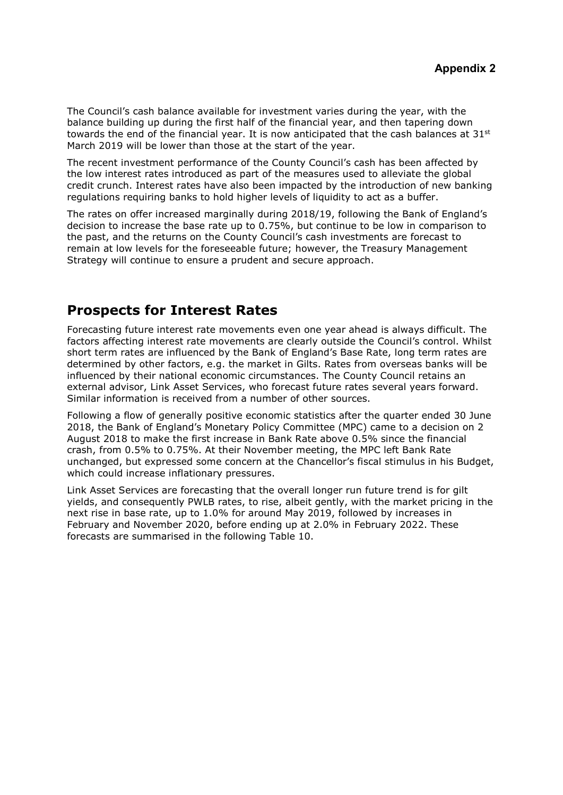The Council's cash balance available for investment varies during the year, with the balance building up during the first half of the financial year, and then tapering down towards the end of the financial year. It is now anticipated that the cash balances at 31<sup>st</sup> March 2019 will be lower than those at the start of the year.

The recent investment performance of the County Council's cash has been affected by the low interest rates introduced as part of the measures used to alleviate the global credit crunch. Interest rates have also been impacted by the introduction of new banking regulations requiring banks to hold higher levels of liquidity to act as a buffer.

The rates on offer increased marginally during 2018/19, following the Bank of England's decision to increase the base rate up to 0.75%, but continue to be low in comparison to the past, and the returns on the County Council's cash investments are forecast to remain at low levels for the foreseeable future; however, the Treasury Management Strategy will continue to ensure a prudent and secure approach.

# **Prospects for Interest Rates**

Forecasting future interest rate movements even one year ahead is always difficult. The factors affecting interest rate movements are clearly outside the Council's control. Whilst short term rates are influenced by the Bank of England's Base Rate, long term rates are determined by other factors, e.g. the market in Gilts. Rates from overseas banks will be influenced by their national economic circumstances. The County Council retains an external advisor, Link Asset Services, who forecast future rates several years forward. Similar information is received from a number of other sources.

Following a flow of generally positive economic statistics after the quarter ended 30 June 2018, the Bank of England's Monetary Policy Committee (MPC) came to a decision on 2 August 2018 to make the first increase in Bank Rate above 0.5% since the financial crash, from 0.5% to 0.75%. At their November meeting, the MPC left Bank Rate unchanged, but expressed some concern at the Chancellor's fiscal stimulus in his Budget, which could increase inflationary pressures.

Link Asset Services are forecasting that the overall longer run future trend is for gilt yields, and consequently PWLB rates, to rise, albeit gently, with the market pricing in the next rise in base rate, up to 1.0% for around May 2019, followed by increases in February and November 2020, before ending up at 2.0% in February 2022. These forecasts are summarised in the following Table 10.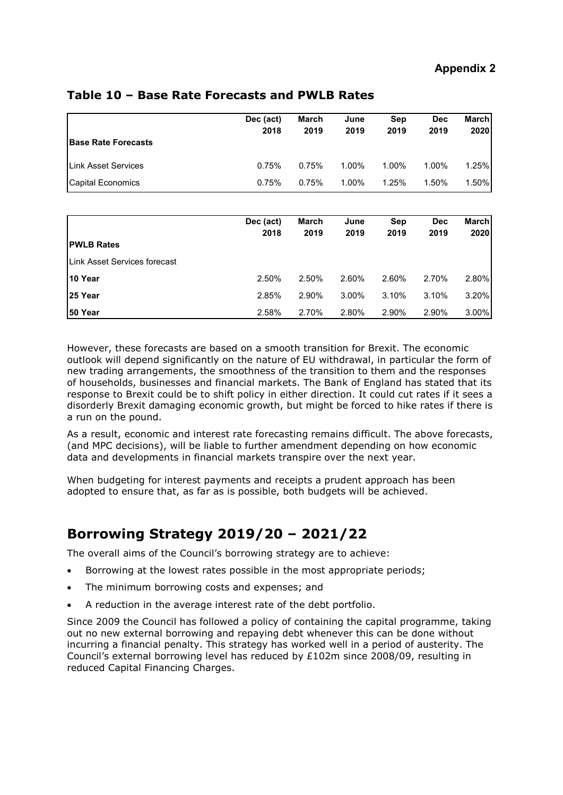| <b>Base Rate Forecasts</b>  | Dec (act)<br>2018 | <b>March</b><br>2019 | June<br>2019 | Sep<br>2019 | <b>Dec</b><br>2019 | <b>March</b><br>2020 |
|-----------------------------|-------------------|----------------------|--------------|-------------|--------------------|----------------------|
| <b>ILink Asset Services</b> | 0.75%             | 0.75%                | 1.00%        | 1.00%       | 1.00%              | 1.25%                |
| <b>Capital Economics</b>    | 0.75%             | 0.75%                | 1.00%        | 1.25%       | 1.50%              | 1.50%                |

## **Table 10 – Base Rate Forecasts and PWLB Rates**

| <b>PWLB Rates</b>            | Dec (act)<br>2018 | March<br>2019 | June<br>2019 | Sep<br>2019 | <b>Dec</b><br>2019 | <b>March</b><br>2020 |
|------------------------------|-------------------|---------------|--------------|-------------|--------------------|----------------------|
| Link Asset Services forecast |                   |               |              |             |                    |                      |
| l10 Year                     | 2.50%             | 2.50%         | 2.60%        | 2.60%       | 2.70%              | 2.80%                |
| <b>25 Year</b>               | 2.85%             | 2.90%         | 3.00%        | 3.10%       | 3.10%              | 3.20%                |
| 50 Year                      | 2.58%             | 2.70%         | 2.80%        | 2.90%       | 2.90%              | 3.00%                |

However, these forecasts are based on a smooth transition for Brexit. The economic outlook will depend significantly on the nature of EU withdrawal, in particular the form of new trading arrangements, the smoothness of the transition to them and the responses of households, businesses and financial markets. The Bank of England has stated that its response to Brexit could be to shift policy in either direction. It could cut rates if it sees a disorderly Brexit damaging economic growth, but might be forced to hike rates if there is a run on the pound.

As a result, economic and interest rate forecasting remains difficult. The above forecasts, (and MPC decisions), will be liable to further amendment depending on how economic data and developments in financial markets transpire over the next year.

When budgeting for interest payments and receipts a prudent approach has been adopted to ensure that, as far as is possible, both budgets will be achieved.

# **Borrowing Strategy 2019/20 – 2021/22**

The overall aims of the Council's borrowing strategy are to achieve:

- Borrowing at the lowest rates possible in the most appropriate periods;
- The minimum borrowing costs and expenses; and
- A reduction in the average interest rate of the debt portfolio.

Since 2009 the Council has followed a policy of containing the capital programme, taking out no new external borrowing and repaying debt whenever this can be done without incurring a financial penalty. This strategy has worked well in a period of austerity. The Council's external borrowing level has reduced by £102m since 2008/09, resulting in reduced Capital Financing Charges.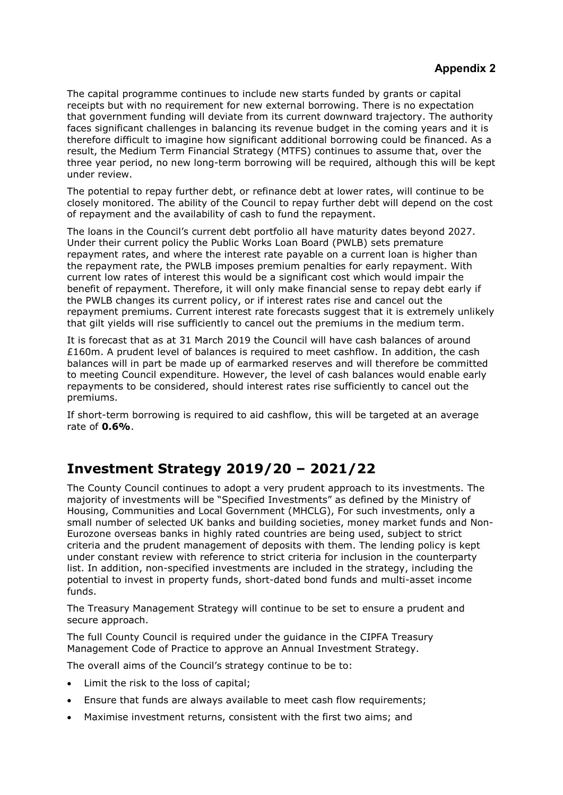The capital programme continues to include new starts funded by grants or capital receipts but with no requirement for new external borrowing. There is no expectation that government funding will deviate from its current downward trajectory. The authority faces significant challenges in balancing its revenue budget in the coming years and it is therefore difficult to imagine how significant additional borrowing could be financed. As a result, the Medium Term Financial Strategy (MTFS) continues to assume that, over the three year period, no new long-term borrowing will be required, although this will be kept under review.

The potential to repay further debt, or refinance debt at lower rates, will continue to be closely monitored. The ability of the Council to repay further debt will depend on the cost of repayment and the availability of cash to fund the repayment.

The loans in the Council's current debt portfolio all have maturity dates beyond 2027. Under their current policy the Public Works Loan Board (PWLB) sets premature repayment rates, and where the interest rate payable on a current loan is higher than the repayment rate, the PWLB imposes premium penalties for early repayment. With current low rates of interest this would be a significant cost which would impair the benefit of repayment. Therefore, it will only make financial sense to repay debt early if the PWLB changes its current policy, or if interest rates rise and cancel out the repayment premiums. Current interest rate forecasts suggest that it is extremely unlikely that gilt yields will rise sufficiently to cancel out the premiums in the medium term.

It is forecast that as at 31 March 2019 the Council will have cash balances of around £160m. A prudent level of balances is required to meet cashflow. In addition, the cash balances will in part be made up of earmarked reserves and will therefore be committed to meeting Council expenditure. However, the level of cash balances would enable early repayments to be considered, should interest rates rise sufficiently to cancel out the premiums.

If short-term borrowing is required to aid cashflow, this will be targeted at an average rate of **0.6%**.

# **Investment Strategy 2019/20 – 2021/22**

The County Council continues to adopt a very prudent approach to its investments. The majority of investments will be "Specified Investments" as defined by the Ministry of Housing, Communities and Local Government (MHCLG), For such investments, only a small number of selected UK banks and building societies, money market funds and Non-Eurozone overseas banks in highly rated countries are being used, subject to strict criteria and the prudent management of deposits with them. The lending policy is kept under constant review with reference to strict criteria for inclusion in the counterparty list. In addition, non-specified investments are included in the strategy, including the potential to invest in property funds, short-dated bond funds and multi-asset income funds.

The Treasury Management Strategy will continue to be set to ensure a prudent and secure approach.

The full County Council is required under the guidance in the CIPFA Treasury Management Code of Practice to approve an Annual Investment Strategy.

The overall aims of the Council's strategy continue to be to:

- Limit the risk to the loss of capital;
- Ensure that funds are always available to meet cash flow requirements;
- Maximise investment returns, consistent with the first two aims; and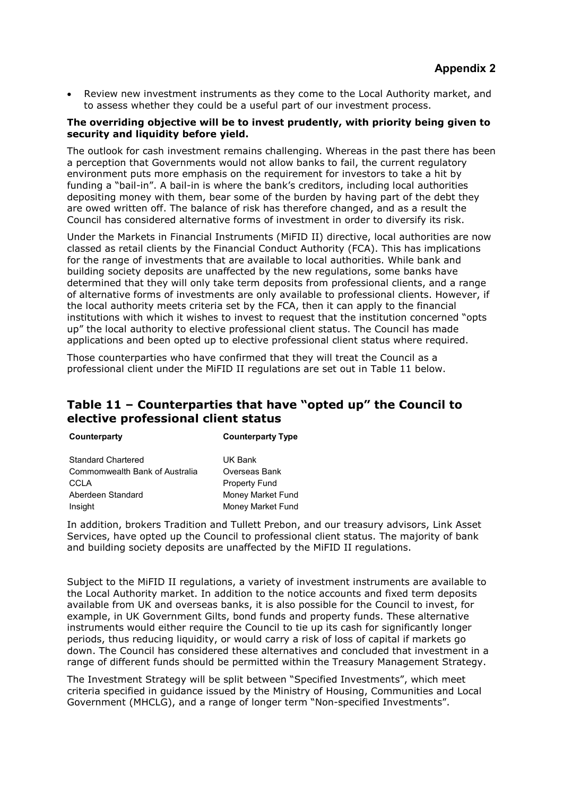• Review new investment instruments as they come to the Local Authority market, and to assess whether they could be a useful part of our investment process.

#### **The overriding objective will be to invest prudently, with priority being given to security and liquidity before yield.**

The outlook for cash investment remains challenging. Whereas in the past there has been a perception that Governments would not allow banks to fail, the current regulatory environment puts more emphasis on the requirement for investors to take a hit by funding a "bail-in". A bail-in is where the bank's creditors, including local authorities depositing money with them, bear some of the burden by having part of the debt they are owed written off. The balance of risk has therefore changed, and as a result the Council has considered alternative forms of investment in order to diversify its risk.

Under the Markets in Financial Instruments (MiFID II) directive, local authorities are now classed as retail clients by the Financial Conduct Authority (FCA). This has implications for the range of investments that are available to local authorities. While bank and building society deposits are unaffected by the new regulations, some banks have determined that they will only take term deposits from professional clients, and a range of alternative forms of investments are only available to professional clients. However, if the local authority meets criteria set by the FCA, then it can apply to the financial institutions with which it wishes to invest to request that the institution concerned "opts up" the local authority to elective professional client status. The Council has made applications and been opted up to elective professional client status where required.

Those counterparties who have confirmed that they will treat the Council as a professional client under the MiFID II regulations are set out in Table 11 below.

## **Table 11 – Counterparties that have "opted up" the Council to elective professional client status**

**Counterparty Counterparty Type**

Standard Chartered **UK Bank** Commomwealth Bank of Australia Overseas Bank CCLA Property Fund Aberdeen Standard Money Market Fund Insight Money Market Fund

In addition, brokers Tradition and Tullett Prebon, and our treasury advisors, Link Asset Services, have opted up the Council to professional client status. The majority of bank and building society deposits are unaffected by the MiFID II regulations.

Subject to the MiFID II regulations, a variety of investment instruments are available to the Local Authority market. In addition to the notice accounts and fixed term deposits available from UK and overseas banks, it is also possible for the Council to invest, for example, in UK Government Gilts, bond funds and property funds. These alternative instruments would either require the Council to tie up its cash for significantly longer periods, thus reducing liquidity, or would carry a risk of loss of capital if markets go down. The Council has considered these alternatives and concluded that investment in a range of different funds should be permitted within the Treasury Management Strategy.

The Investment Strategy will be split between "Specified Investments", which meet criteria specified in guidance issued by the Ministry of Housing, Communities and Local Government (MHCLG), and a range of longer term "Non-specified Investments".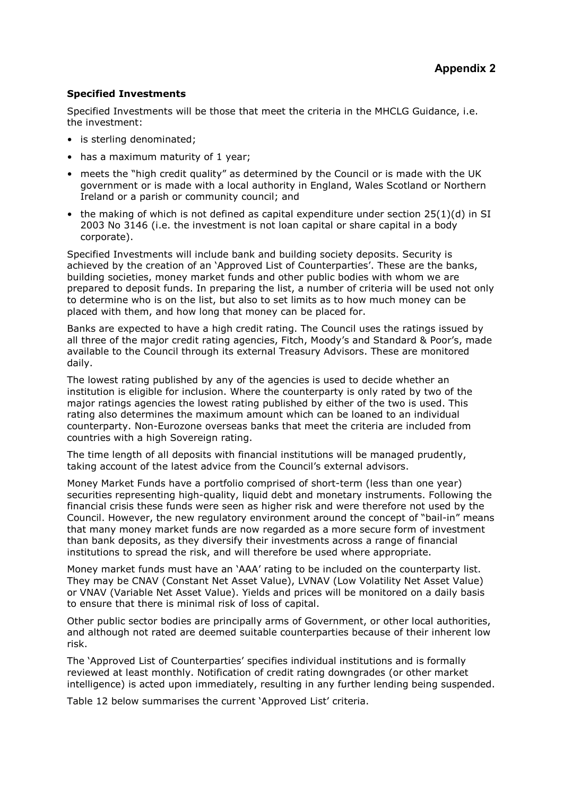#### **Specified Investments**

Specified Investments will be those that meet the criteria in the MHCLG Guidance, i.e. the investment:

- is sterling denominated;
- has a maximum maturity of 1 year:
- meets the "high credit quality" as determined by the Council or is made with the UK government or is made with a local authority in England, Wales Scotland or Northern Ireland or a parish or community council; and
- the making of which is not defined as capital expenditure under section 25(1)(d) in SI 2003 No 3146 (i.e. the investment is not loan capital or share capital in a body corporate).

Specified Investments will include bank and building society deposits. Security is achieved by the creation of an 'Approved List of Counterparties'. These are the banks, building societies, money market funds and other public bodies with whom we are prepared to deposit funds. In preparing the list, a number of criteria will be used not only to determine who is on the list, but also to set limits as to how much money can be placed with them, and how long that money can be placed for.

Banks are expected to have a high credit rating. The Council uses the ratings issued by all three of the major credit rating agencies, Fitch, Moody's and Standard & Poor's, made available to the Council through its external Treasury Advisors. These are monitored daily.

The lowest rating published by any of the agencies is used to decide whether an institution is eligible for inclusion. Where the counterparty is only rated by two of the major ratings agencies the lowest rating published by either of the two is used. This rating also determines the maximum amount which can be loaned to an individual counterparty. Non-Eurozone overseas banks that meet the criteria are included from countries with a high Sovereign rating.

The time length of all deposits with financial institutions will be managed prudently, taking account of the latest advice from the Council's external advisors.

Money Market Funds have a portfolio comprised of short-term (less than one year) securities representing high-quality, liquid debt and monetary instruments. Following the financial crisis these funds were seen as higher risk and were therefore not used by the Council. However, the new regulatory environment around the concept of "bail-in" means that many money market funds are now regarded as a more secure form of investment than bank deposits, as they diversify their investments across a range of financial institutions to spread the risk, and will therefore be used where appropriate.

Money market funds must have an 'AAA' rating to be included on the counterparty list. They may be CNAV (Constant Net Asset Value), LVNAV (Low Volatility Net Asset Value) or VNAV (Variable Net Asset Value). Yields and prices will be monitored on a daily basis to ensure that there is minimal risk of loss of capital.

Other public sector bodies are principally arms of Government, or other local authorities, and although not rated are deemed suitable counterparties because of their inherent low risk.

The 'Approved List of Counterparties' specifies individual institutions and is formally reviewed at least monthly. Notification of credit rating downgrades (or other market intelligence) is acted upon immediately, resulting in any further lending being suspended.

Table 12 below summarises the current 'Approved List' criteria.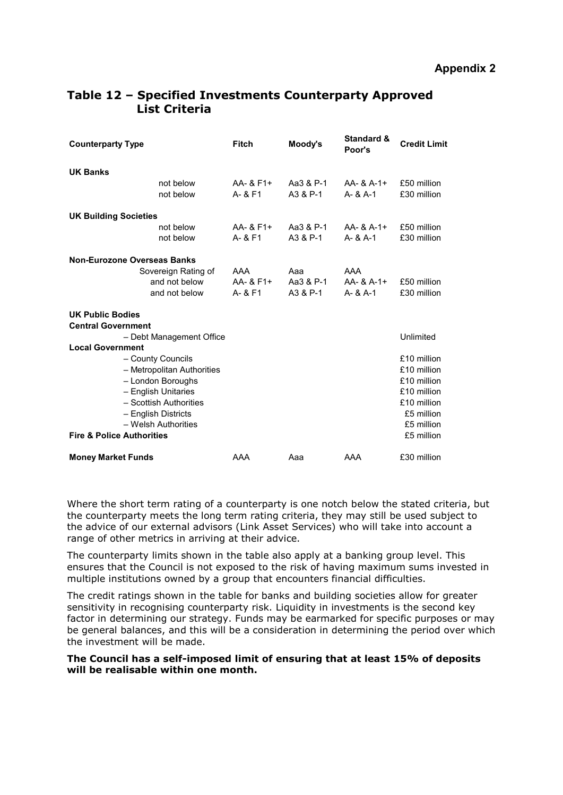| <b>Counterparty Type</b>                                                                                                                                       |                                                       | <b>Fitch</b>                | Moody's                      | <b>Standard &amp;</b><br>Poor's   | <b>Credit Limit</b>                                                                 |
|----------------------------------------------------------------------------------------------------------------------------------------------------------------|-------------------------------------------------------|-----------------------------|------------------------------|-----------------------------------|-------------------------------------------------------------------------------------|
| <b>UK Banks</b>                                                                                                                                                | not below<br>not below                                | AA- & F1+<br>A- & F1        | Aa3 & P-1<br>A3 & P-1        | $AA - 8A - 1 +$<br>$A - 8A - 1$   | £50 million<br>£30 million                                                          |
| <b>UK Building Societies</b>                                                                                                                                   | not below<br>not below                                | AA- & F1+<br>A- & F1        | Aa3 & P-1<br>A3 & P-1        | $AA - 8A - 1 +$<br>$A - 8A - 1$   | £50 million<br>£30 million                                                          |
| Non-Eurozone Overseas Banks                                                                                                                                    | Sovereign Rating of<br>and not below<br>and not below | AAA<br>AA- & F1+<br>A- & F1 | Aaa<br>Aa3 & P-1<br>A3 & P-1 | AAA<br>AA- & A-1+<br>$A - 8A - 1$ | £50 million<br>£30 million                                                          |
| <b>UK Public Bodies</b><br><b>Central Government</b><br>- Debt Management Office<br><b>Local Government</b><br>- County Councils<br>- Metropolitan Authorities |                                                       |                             |                              |                                   | Unlimited<br>£10 million<br>£10 million                                             |
| - London Boroughs<br>- English Unitaries<br>- Scottish Authorities<br>- English Districts<br>- Welsh Authorities<br><b>Fire &amp; Police Authorities</b>       |                                                       |                             |                              |                                   | £10 million<br>£10 million<br>£10 million<br>£5 million<br>£5 million<br>£5 million |
| <b>Money Market Funds</b>                                                                                                                                      |                                                       | AAA                         | Aaa                          | AAA                               | £30 million                                                                         |

## **Table 12 – Specified Investments Counterparty Approved List Criteria**

Where the short term rating of a counterparty is one notch below the stated criteria, but the counterparty meets the long term rating criteria, they may still be used subject to the advice of our external advisors (Link Asset Services) who will take into account a range of other metrics in arriving at their advice.

The counterparty limits shown in the table also apply at a banking group level. This ensures that the Council is not exposed to the risk of having maximum sums invested in multiple institutions owned by a group that encounters financial difficulties.

The credit ratings shown in the table for banks and building societies allow for greater sensitivity in recognising counterparty risk. Liquidity in investments is the second key factor in determining our strategy. Funds may be earmarked for specific purposes or may be general balances, and this will be a consideration in determining the period over which the investment will be made.

#### **The Council has a self-imposed limit of ensuring that at least 15% of deposits will be realisable within one month.**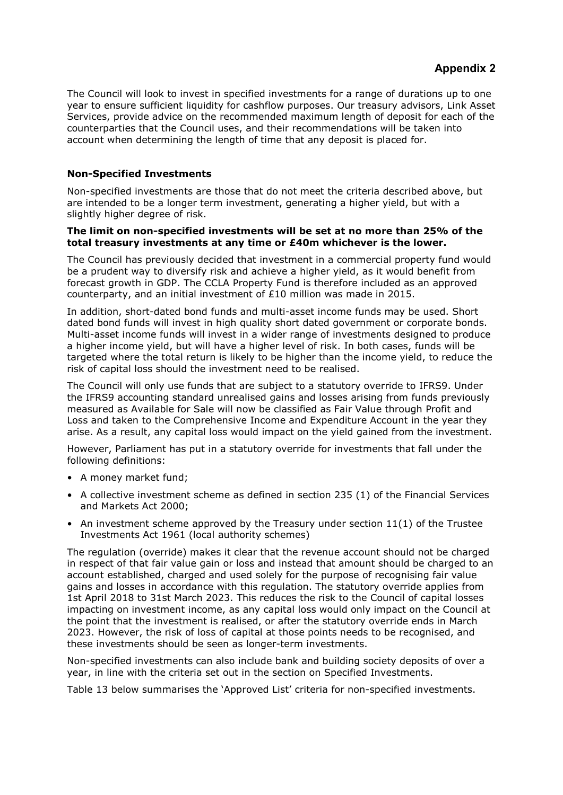The Council will look to invest in specified investments for a range of durations up to one year to ensure sufficient liquidity for cashflow purposes. Our treasury advisors, Link Asset Services, provide advice on the recommended maximum length of deposit for each of the counterparties that the Council uses, and their recommendations will be taken into account when determining the length of time that any deposit is placed for.

#### **Non-Specified Investments**

Non-specified investments are those that do not meet the criteria described above, but are intended to be a longer term investment, generating a higher yield, but with a slightly higher degree of risk.

#### **The limit on non-specified investments will be set at no more than 25% of the total treasury investments at any time or £40m whichever is the lower.**

The Council has previously decided that investment in a commercial property fund would be a prudent way to diversify risk and achieve a higher yield, as it would benefit from forecast growth in GDP. The CCLA Property Fund is therefore included as an approved counterparty, and an initial investment of £10 million was made in 2015.

In addition, short-dated bond funds and multi-asset income funds may be used. Short dated bond funds will invest in high quality short dated government or corporate bonds. Multi-asset income funds will invest in a wider range of investments designed to produce a higher income yield, but will have a higher level of risk. In both cases, funds will be targeted where the total return is likely to be higher than the income yield, to reduce the risk of capital loss should the investment need to be realised.

The Council will only use funds that are subject to a statutory override to IFRS9. Under the IFRS9 accounting standard unrealised gains and losses arising from funds previously measured as Available for Sale will now be classified as Fair Value through Profit and Loss and taken to the Comprehensive Income and Expenditure Account in the year they arise. As a result, any capital loss would impact on the yield gained from the investment.

However, Parliament has put in a statutory override for investments that fall under the following definitions:

- A money market fund;
- A collective investment scheme as defined in section 235 (1) of the Financial Services and Markets Act 2000;
- An investment scheme approved by the Treasury under section  $11(1)$  of the Trustee Investments Act 1961 (local authority schemes)

The regulation (override) makes it clear that the revenue account should not be charged in respect of that fair value gain or loss and instead that amount should be charged to an account established, charged and used solely for the purpose of recognising fair value gains and losses in accordance with this regulation. The statutory override applies from 1st April 2018 to 31st March 2023. This reduces the risk to the Council of capital losses impacting on investment income, as any capital loss would only impact on the Council at the point that the investment is realised, or after the statutory override ends in March 2023. However, the risk of loss of capital at those points needs to be recognised, and these investments should be seen as longer-term investments.

Non-specified investments can also include bank and building society deposits of over a year, in line with the criteria set out in the section on Specified Investments.

Table 13 below summarises the 'Approved List' criteria for non-specified investments.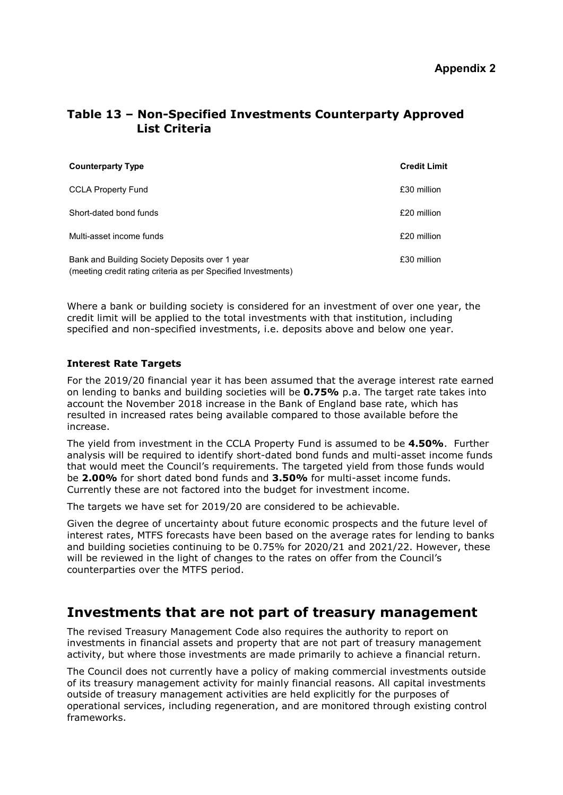## **Table 13 – Non-Specified Investments Counterparty Approved List Criteria**

| <b>Counterparty Type</b>                                                                                        | <b>Credit Limit</b> |
|-----------------------------------------------------------------------------------------------------------------|---------------------|
| <b>CCLA Property Fund</b>                                                                                       | £30 million         |
| Short-dated bond funds                                                                                          | £20 million         |
| Multi-asset income funds                                                                                        | £20 million         |
| Bank and Building Society Deposits over 1 year<br>(meeting credit rating criteria as per Specified Investments) | £30 million         |

Where a bank or building society is considered for an investment of over one year, the credit limit will be applied to the total investments with that institution, including specified and non-specified investments, i.e. deposits above and below one year.

#### **Interest Rate Targets**

For the 2019/20 financial year it has been assumed that the average interest rate earned on lending to banks and building societies will be **0.75%** p.a. The target rate takes into account the November 2018 increase in the Bank of England base rate, which has resulted in increased rates being available compared to those available before the increase.

The yield from investment in the CCLA Property Fund is assumed to be **4.50%**. Further analysis will be required to identify short-dated bond funds and multi-asset income funds that would meet the Council's requirements. The targeted yield from those funds would be **2.00%** for short dated bond funds and **3.50%** for multi-asset income funds. Currently these are not factored into the budget for investment income.

The targets we have set for 2019/20 are considered to be achievable.

Given the degree of uncertainty about future economic prospects and the future level of interest rates, MTFS forecasts have been based on the average rates for lending to banks and building societies continuing to be 0.75% for 2020/21 and 2021/22. However, these will be reviewed in the light of changes to the rates on offer from the Council's counterparties over the MTFS period.

# **Investments that are not part of treasury management**

The revised Treasury Management Code also requires the authority to report on investments in financial assets and property that are not part of treasury management activity, but where those investments are made primarily to achieve a financial return.

The Council does not currently have a policy of making commercial investments outside of its treasury management activity for mainly financial reasons. All capital investments outside of treasury management activities are held explicitly for the purposes of operational services, including regeneration, and are monitored through existing control frameworks.